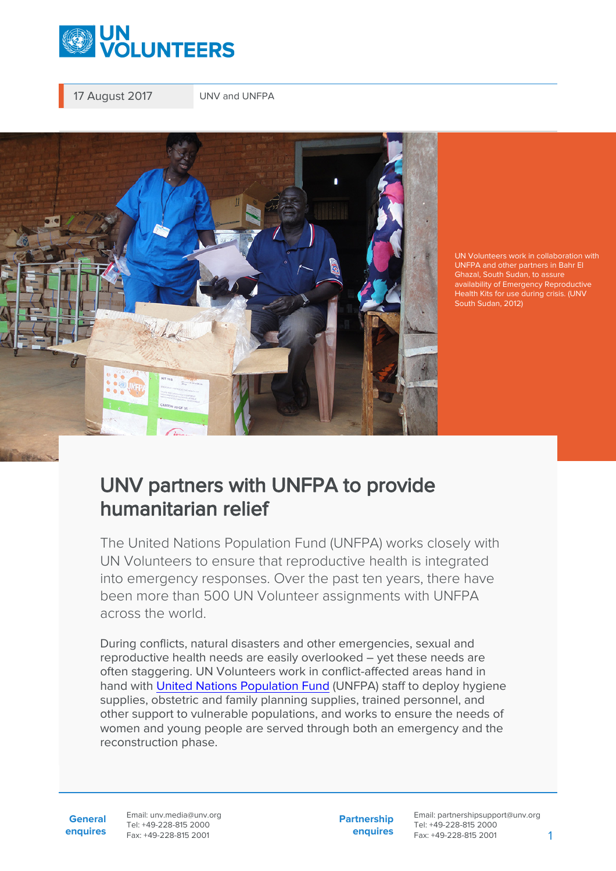

17 August 2017 UNV and UNFPA



UN Volunteers work in collaboration with Ghazal, South Sudan, to assure availability of Emergency Reproductive Health Kits for use during crisis. (UNV

## UNV partners with UNFPA to provide humanitarian relief

The United Nations Population Fund (UNFPA) works closely with UN Volunteers to ensure that reproductive health is integrated into emergency responses. Over the past ten years, there have been more than 500 UN Volunteer assignments with UNFPA across the world.

During conflicts, natural disasters and other emergencies, sexual and reproductive health needs are easily overlooked – yet these needs are often staggering. UN Volunteers work in conflict-affected areas hand in hand with [United Nations Population Fund](https://www.unfpa.org/) (UNFPA) staff to deploy hygiene supplies, obstetric and family planning supplies, trained personnel, and other support to vulnerable populations, and works to ensure the needs of women and young people are served through both an emergency and the reconstruction phase.

**General enquires** Email: unv.media@unv.org Tel: +49-228-815 2000 Fax: +49-228-815 2001

**Partnership enquires** Email: partnershipsupport@unv.org Tel: +49-228-815 2000 Fax: +49-228-815 2001 1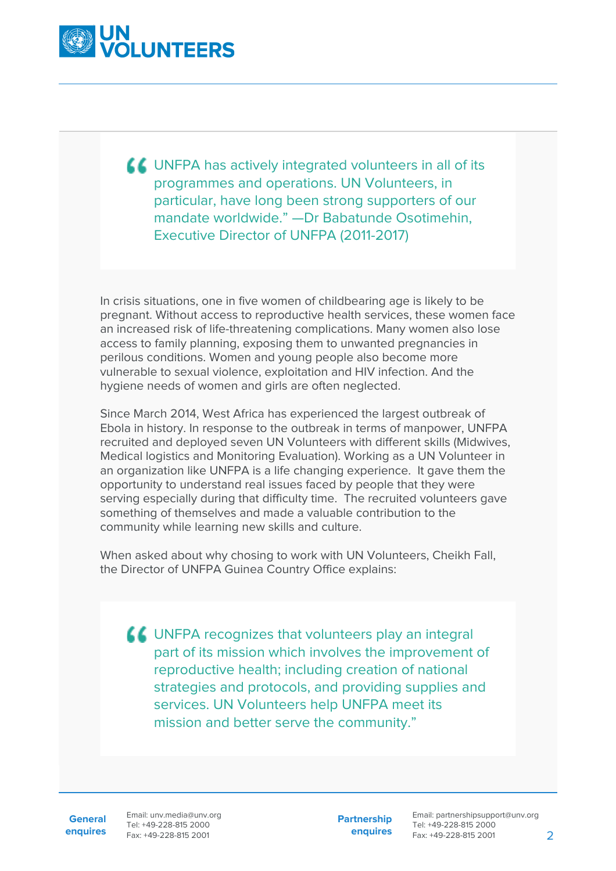

UNFPA has actively integrated volunteers in all of its programmes and operations. UN Volunteers, in particular, have long been strong supporters of our mandate worldwide." —Dr Babatunde Osotimehin, Executive Director of UNFPA (2011-2017)

In crisis situations, one in five women of childbearing age is likely to be pregnant. Without access to reproductive health services, these women face an increased risk of life-threatening complications. Many women also lose access to family planning, exposing them to unwanted pregnancies in perilous conditions. Women and young people also become more vulnerable to sexual violence, exploitation and HIV infection. And the hygiene needs of women and girls are often neglected.

Since March 2014, West Africa has experienced the largest outbreak of Ebola in history. In response to the outbreak in terms of manpower, UNFPA recruited and deployed seven UN Volunteers with different skills (Midwives, Medical logistics and Monitoring Evaluation). Working as a UN Volunteer in an organization like UNFPA is a life changing experience. It gave them the opportunity to understand real issues faced by people that they were serving especially during that difficulty time. The recruited volunteers gave something of themselves and made a valuable contribution to the community while learning new skills and culture.

When asked about why chosing to work with UN Volunteers, Cheikh Fall, the Director of UNFPA Guinea Country Office explains:

**LL** UNFPA recognizes that volunteers play an integral part of its mission which involves the improvement of reproductive health; including creation of national strategies and protocols, and providing supplies and services. UN Volunteers help UNFPA meet its mission and better serve the community."

**General enquires** Email: unv.media@unv.org Tel: +49-228-815 2000 Fax: +49-228-815 2001

**Partnership enquires**

Email: partnershipsupport@unv.org Tel: +49-228-815 2000 Fax: +49-228-815 2001 2